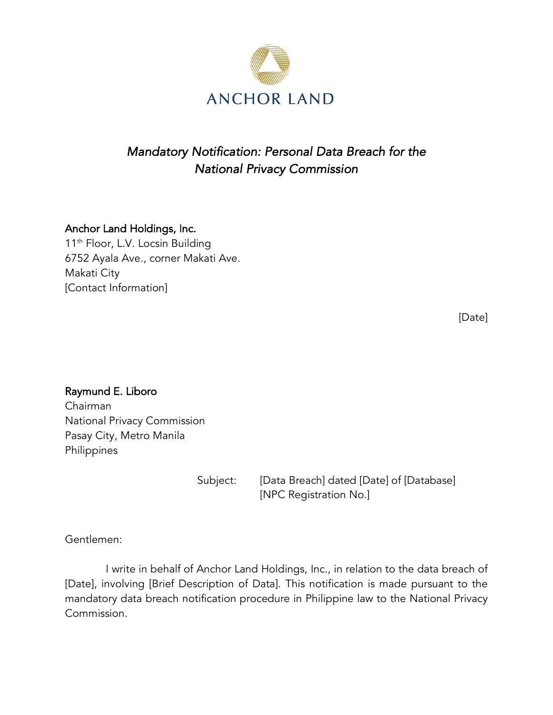

## *Mandatory Notification: Personal Data Breach for the National Privacy Commission*

## Anchor Land Holdings, Inc.

11<sup>th</sup> Floor, L.V. Locsin Building 6752 Ayala Ave., corner Makati Ave. Makati City [Contact Information]

[Date]

Raymund E. Liboro Chairman National Privacy Commission Pasay City, Metro Manila Philippines

Subject: [Data Breach] dated [Date] of [Database] [NPC Registration No.]

Gentlemen:

I write in behalf of Anchor Land Holdings, Inc., in relation to the data breach of [Date], involving [Brief Description of Data]. This notification is made pursuant to the mandatory data breach notification procedure in Philippine law to the National Privacy Commission.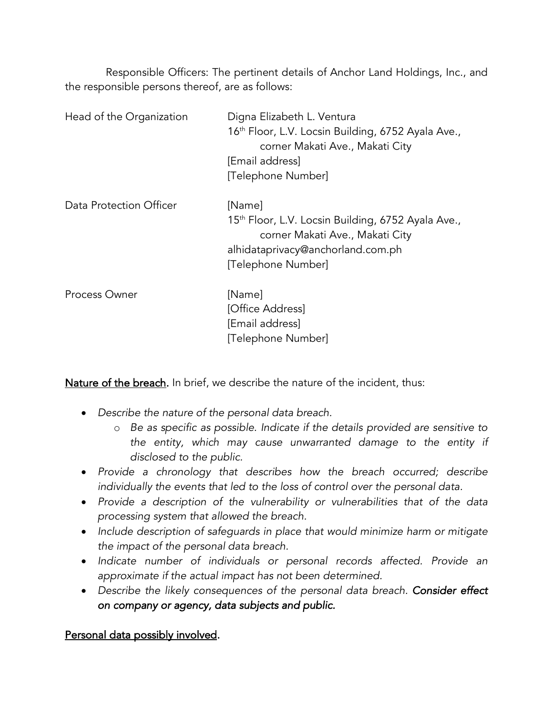Responsible Officers: The pertinent details of Anchor Land Holdings, Inc., and the responsible persons thereof, are as follows:

| Head of the Organization | Digna Elizabeth L. Ventura<br>16th Floor, L.V. Locsin Building, 6752 Ayala Ave.,<br>corner Makati Ave., Makati City<br>[Email address]<br>[Telephone Number]           |
|--------------------------|------------------------------------------------------------------------------------------------------------------------------------------------------------------------|
| Data Protection Officer  | [Name]<br>15 <sup>th</sup> Floor, L.V. Locsin Building, 6752 Ayala Ave.,<br>corner Makati Ave., Makati City<br>alhidataprivacy@anchorland.com.ph<br>[Telephone Number] |
| Process Owner            | [Name]<br>[Office Address]<br>[Email address]<br>[Telephone Number]                                                                                                    |

Nature of the breach. In brief, we describe the nature of the incident, thus:

- *Describe the nature of the personal data breach.*
	- o *Be as specific as possible. Indicate if the details provided are sensitive to the entity, which may cause unwarranted damage to the entity if disclosed to the public.*
- *Provide a chronology that describes how the breach occurred; describe individually the events that led to the loss of control over the personal data.*
- *Provide a description of the vulnerability or vulnerabilities that of the data processing system that allowed the breach.*
- *Include description of safeguards in place that would minimize harm or mitigate the impact of the personal data breach.*
- *Indicate number of individuals or personal records affected. Provide an approximate if the actual impact has not been determined.*
- *Describe the likely consequences of the personal data breach. Consider effect on company or agency, data subjects and public.*

Personal data possibly involved.